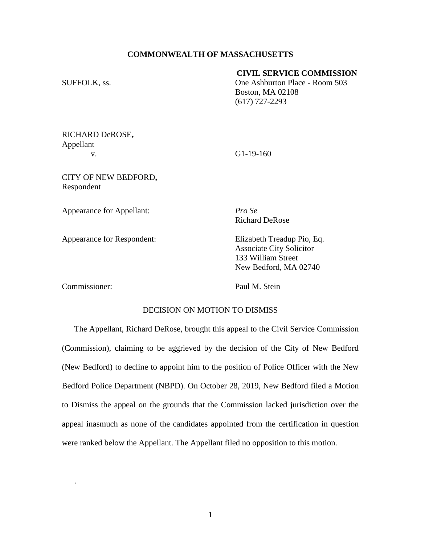# **COMMONWEALTH OF MASSACHUSETTS**

# **CIVIL SERVICE COMMISSION**

SUFFOLK, ss.  $One Ashburton Place - Room 503$ Boston, MA 02108 (617) 727-2293

RICHARD DeROSE**,** Appellant v. G1-19-160

CITY OF NEW BEDFORD**,** Respondent

Appearance for Appellant: *Pro Se*

Appearance for Respondent: Elizabeth Treadup Pio, Eq.

Richard DeRose

Associate City Solicitor 133 William Street New Bedford, MA 02740

Commissioner: Paul M. Stein

.

# DECISION ON MOTION TO DISMISS

The Appellant, Richard DeRose, brought this appeal to the Civil Service Commission (Commission), claiming to be aggrieved by the decision of the City of New Bedford (New Bedford) to decline to appoint him to the position of Police Officer with the New Bedford Police Department (NBPD). On October 28, 2019, New Bedford filed a Motion to Dismiss the appeal on the grounds that the Commission lacked jurisdiction over the appeal inasmuch as none of the candidates appointed from the certification in question were ranked below the Appellant. The Appellant filed no opposition to this motion.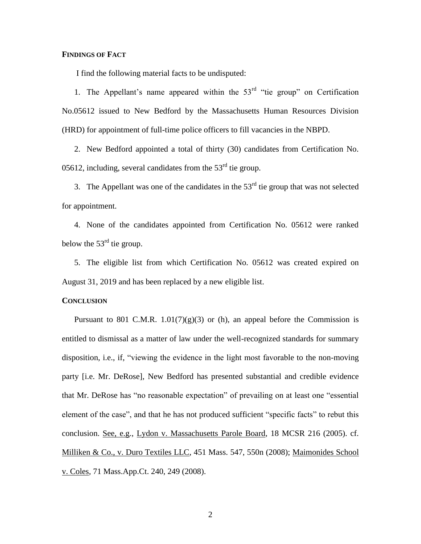#### **FINDINGS OF FACT**

I find the following material facts to be undisputed:

1. The Appellant's name appeared within the  $53<sup>rd</sup>$  "tie group" on Certification No.05612 issued to New Bedford by the Massachusetts Human Resources Division (HRD) for appointment of full-time police officers to fill vacancies in the NBPD.

2. New Bedford appointed a total of thirty (30) candidates from Certification No. 05612, including, several candidates from the  $53<sup>rd</sup>$  tie group.

3. The Appellant was one of the candidates in the  $53<sup>rd</sup>$  tie group that was not selected for appointment.

4. None of the candidates appointed from Certification No. 05612 were ranked below the  $53<sup>rd</sup>$  tie group.

5. The eligible list from which Certification No. 05612 was created expired on August 31, 2019 and has been replaced by a new eligible list.

#### **CONCLUSION**

Pursuant to 801 C.M.R.  $1.01(7)(g)(3)$  or (h), an appeal before the Commission is entitled to dismissal as a matter of law under the well-recognized standards for summary disposition, i.e., if, "viewing the evidence in the light most favorable to the non-moving party [i.e. Mr. DeRose], New Bedford has presented substantial and credible evidence that Mr. DeRose has "no reasonable expectation" of prevailing on at least one "essential element of the case", and that he has not produced sufficient "specific facts" to rebut this conclusion. See, e.g., Lydon v. Massachusetts Parole Board, 18 MCSR 216 (2005). cf. Milliken & Co., v. Duro Textiles LLC, 451 Mass. 547, 550n (2008); Maimonides School v. Coles, 71 Mass.App.Ct. 240, 249 (2008).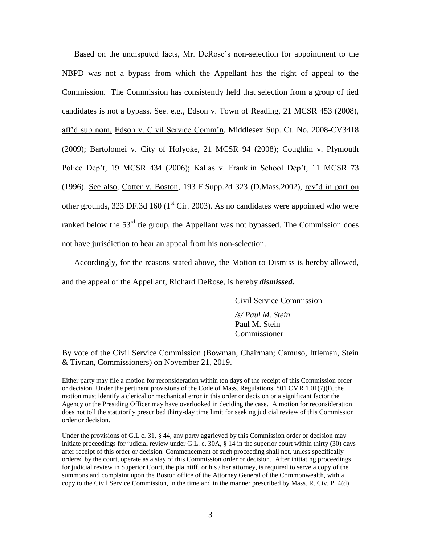Based on the undisputed facts, Mr. DeRose's non-selection for appointment to the NBPD was not a bypass from which the Appellant has the right of appeal to the Commission. The Commission has consistently held that selection from a group of tied candidates is not a bypass. See. e.g., Edson v. Town of Reading, 21 MCSR 453 (2008), aff'd sub nom, Edson v. Civil Service Comm'n, Middlesex Sup. Ct. No. 2008-CV3418 (2009); Bartolomei v. City of Holyoke, 21 MCSR 94 (2008); Coughlin v. Plymouth Police Dep't, 19 MCSR 434 (2006); Kallas v. Franklin School Dep't, 11 MCSR 73 (1996). See also, Cotter v. Boston, 193 F.Supp.2d 323 (D.Mass.2002), rev'd in part on other grounds, 323 DF.3d 160 ( $1<sup>st</sup>$  Cir. 2003). As no candidates were appointed who were ranked below the  $53<sup>rd</sup>$  tie group, the Appellant was not bypassed. The Commission does not have jurisdiction to hear an appeal from his non-selection.

Accordingly, for the reasons stated above, the Motion to Dismiss is hereby allowed,

and the appeal of the Appellant, Richard DeRose, is hereby *dismissed.*

Civil Service Commission */s/ Paul M. Stein* Paul M. Stein Commissioner

By vote of the Civil Service Commission (Bowman, Chairman; Camuso, Ittleman, Stein & Tivnan, Commissioners) on November 21, 2019.

Either party may file a motion for reconsideration within ten days of the receipt of this Commission order or decision. Under the pertinent provisions of the Code of Mass. Regulations, 801 CMR 1.01(7)(l), the motion must identify a clerical or mechanical error in this order or decision or a significant factor the Agency or the Presiding Officer may have overlooked in deciding the case. A motion for reconsideration does not toll the statutorily prescribed thirty-day time limit for seeking judicial review of this Commission order or decision.

Under the provisions of G.L c. 31, § 44, any party aggrieved by this Commission order or decision may initiate proceedings for judicial review under G.L. c. 30A, § 14 in the superior court within thirty (30) days after receipt of this order or decision. Commencement of such proceeding shall not, unless specifically ordered by the court, operate as a stay of this Commission order or decision. After initiating proceedings for judicial review in Superior Court, the plaintiff, or his / her attorney, is required to serve a copy of the summons and complaint upon the Boston office of the Attorney General of the Commonwealth, with a copy to the Civil Service Commission, in the time and in the manner prescribed by Mass. R. Civ. P. 4(d)